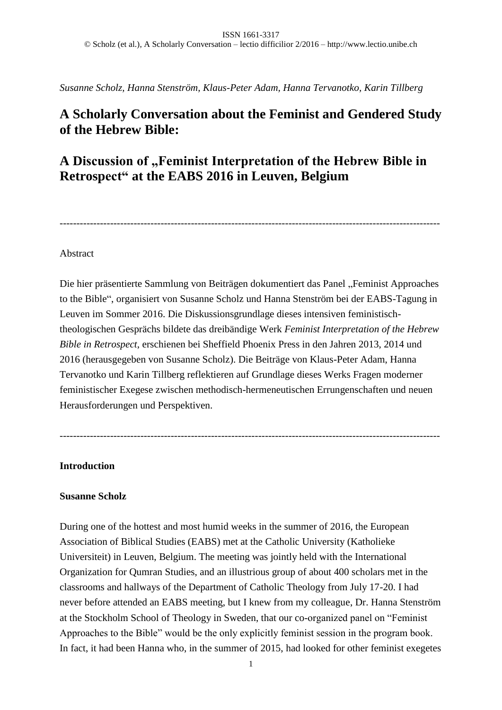*Susanne Scholz, Hanna Stenström, Klaus-Peter Adam, Hanna Tervanotko, Karin Tillberg*

# **A Scholarly Conversation about the Feminist and Gendered Study of the Hebrew Bible:**

# **A Discussion of "Feminist Interpretation of the Hebrew Bible in Retrospect" at the EABS 2016 in Leuven, Belgium**

-----------------------------------------------------------------------------------------------------------------

### Abstract

Die hier präsentierte Sammlung von Beiträgen dokumentiert das Panel "Feminist Approaches to the Bible", organisiert von Susanne Scholz und Hanna Stenström bei der EABS-Tagung in Leuven im Sommer 2016. Die Diskussionsgrundlage dieses intensiven feministischtheologischen Gesprächs bildete das dreibändige Werk *Feminist Interpretation of the Hebrew Bible in Retrospect*, erschienen bei Sheffield Phoenix Press in den Jahren 2013, 2014 und 2016 (herausgegeben von Susanne Scholz). Die Beiträge von Klaus-Peter Adam, Hanna Tervanotko und Karin Tillberg reflektieren auf Grundlage dieses Werks Fragen moderner feministischer Exegese zwischen methodisch-hermeneutischen Errungenschaften und neuen Herausforderungen und Perspektiven.

-----------------------------------------------------------------------------------------------------------------

### **Introduction**

### **Susanne Scholz**

During one of the hottest and most humid weeks in the summer of 2016, the European Association of Biblical Studies (EABS) met at the Catholic University (Katholieke Universiteit) in Leuven, Belgium. The meeting was jointly held with the International Organization for Qumran Studies, and an illustrious group of about 400 scholars met in the classrooms and hallways of the Department of Catholic Theology from July 17-20. I had never before attended an EABS meeting, but I knew from my colleague, Dr. Hanna Stenström at the Stockholm School of Theology in Sweden, that our co-organized panel on "Feminist Approaches to the Bible" would be the only explicitly feminist session in the program book. In fact, it had been Hanna who, in the summer of 2015, had looked for other feminist exegetes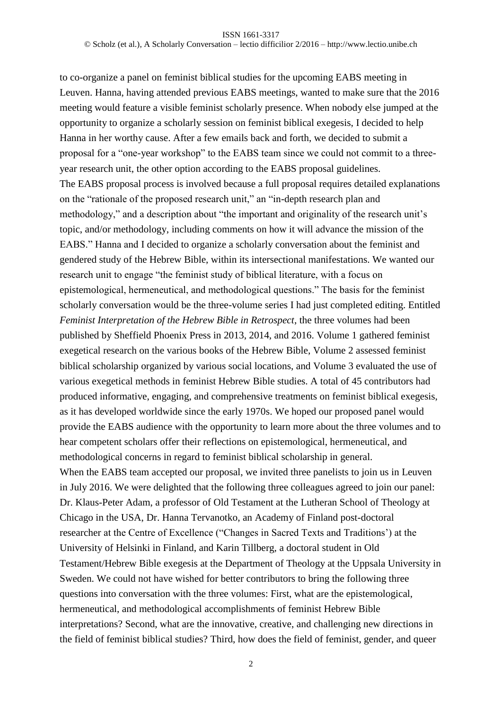to co-organize a panel on feminist biblical studies for the upcoming EABS meeting in Leuven. Hanna, having attended previous EABS meetings, wanted to make sure that the 2016 meeting would feature a visible feminist scholarly presence. When nobody else jumped at the opportunity to organize a scholarly session on feminist biblical exegesis, I decided to help Hanna in her worthy cause. After a few emails back and forth, we decided to submit a proposal for a "one-year workshop" to the EABS team since we could not commit to a threeyear research unit, the other option according to the EABS proposal guidelines. The EABS proposal process is involved because a full proposal requires detailed explanations on the "rationale of the proposed research unit," an "in-depth research plan and methodology," and a description about "the important and originality of the research unit's topic, and/or methodology, including comments on how it will advance the mission of the EABS." Hanna and I decided to organize a scholarly conversation about the feminist and gendered study of the Hebrew Bible, within its intersectional manifestations. We wanted our research unit to engage "the feminist study of biblical literature, with a focus on epistemological, hermeneutical, and methodological questions." The basis for the feminist scholarly conversation would be the three-volume series I had just completed editing. Entitled *Feminist Interpretation of the Hebrew Bible in Retrospect*, the three volumes had been published by Sheffield Phoenix Press in 2013, 2014, and 2016. Volume 1 gathered feminist exegetical research on the various books of the Hebrew Bible, Volume 2 assessed feminist biblical scholarship organized by various social locations, and Volume 3 evaluated the use of various exegetical methods in feminist Hebrew Bible studies. A total of 45 contributors had produced informative, engaging, and comprehensive treatments on feminist biblical exegesis, as it has developed worldwide since the early 1970s. We hoped our proposed panel would provide the EABS audience with the opportunity to learn more about the three volumes and to hear competent scholars offer their reflections on epistemological, hermeneutical, and methodological concerns in regard to feminist biblical scholarship in general. When the EABS team accepted our proposal, we invited three panelists to join us in Leuven in July 2016. We were delighted that the following three colleagues agreed to join our panel: Dr. Klaus-Peter Adam, a professor of Old Testament at the Lutheran School of Theology at Chicago in the USA, Dr. Hanna Tervanotko, an Academy of Finland post-doctoral researcher at the Centre of Excellence ("Changes in Sacred Texts and Traditions') at the University of Helsinki in Finland, and Karin Tillberg, a doctoral student in Old Testament/Hebrew Bible exegesis at the Department of Theology at the Uppsala University in Sweden. We could not have wished for better contributors to bring the following three questions into conversation with the three volumes: First, what are the epistemological, hermeneutical, and methodological accomplishments of feminist Hebrew Bible interpretations? Second, what are the innovative, creative, and challenging new directions in the field of feminist biblical studies? Third, how does the field of feminist, gender, and queer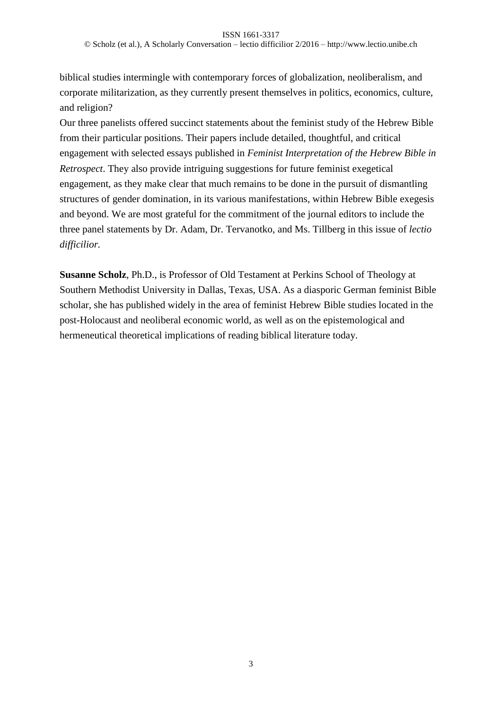biblical studies intermingle with contemporary forces of globalization, neoliberalism, and corporate militarization, as they currently present themselves in politics, economics, culture, and religion?

Our three panelists offered succinct statements about the feminist study of the Hebrew Bible from their particular positions. Their papers include detailed, thoughtful, and critical engagement with selected essays published in *Feminist Interpretation of the Hebrew Bible in Retrospect*. They also provide intriguing suggestions for future feminist exegetical engagement, as they make clear that much remains to be done in the pursuit of dismantling structures of gender domination, in its various manifestations, within Hebrew Bible exegesis and beyond. We are most grateful for the commitment of the journal editors to include the three panel statements by Dr. Adam, Dr. Tervanotko, and Ms. Tillberg in this issue of *lectio difficilior.*

**Susanne Scholz**, Ph.D., is Professor of Old Testament at Perkins School of Theology at Southern Methodist University in Dallas, Texas, USA. As a diasporic German feminist Bible scholar, she has published widely in the area of feminist Hebrew Bible studies located in the post-Holocaust and neoliberal economic world, as well as on the epistemological and hermeneutical theoretical implications of reading biblical literature today.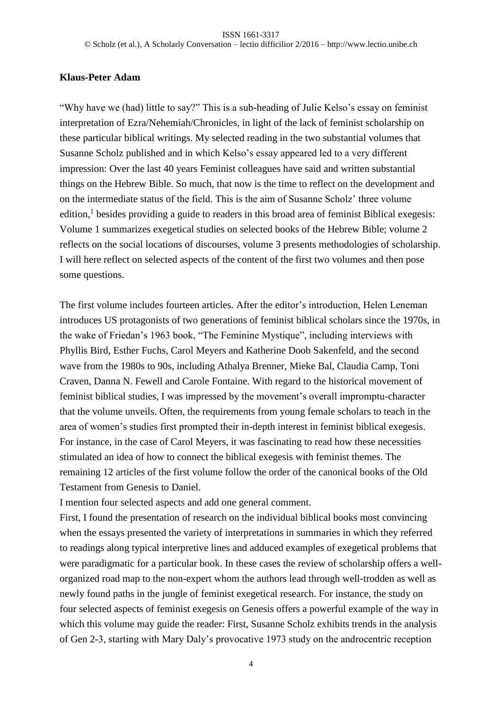## **Klaus-Peter Adam**

"Why have we (had) little to say?" This is a sub-heading of Julie Kelso's essay on feminist interpretation of Ezra/Nehemiah/Chronicles, in light of the lack of feminist scholarship on these particular biblical writings. My selected reading in the two substantial volumes that Susanne Scholz published and in which Kelso's essay appeared led to a very different impression: Over the last 40 years Feminist colleagues have said and written substantial things on the Hebrew Bible. So much, that now is the time to reflect on the development and on the intermediate status of the field. This is the aim of Susanne Scholz' three volume edition,<sup>1</sup> besides providing a guide to readers in this broad area of feminist Biblical exegesis: Volume 1 summarizes exegetical studies on selected books of the Hebrew Bible; volume 2 reflects on the social locations of discourses, volume 3 presents methodologies of scholarship. I will here reflect on selected aspects of the content of the first two volumes and then pose some questions.

The first volume includes fourteen articles. After the editor's introduction, Helen Leneman introduces US protagonists of two generations of feminist biblical scholars since the 1970s, in the wake of Friedan's 1963 book, "The Feminine Mystique", including interviews with Phyllis Bird, Esther Fuchs, Carol Meyers and Katherine Doob Sakenfeld, and the second wave from the 1980s to 90s, including Athalya Brenner, Mieke Bal, Claudia Camp, Toni Craven, Danna N. Fewell and Carole Fontaine. With regard to the historical movement of feminist biblical studies, I was impressed by the movement's overall impromptu-character that the volume unveils. Often, the requirements from young female scholars to teach in the area of women's studies first prompted their in-depth interest in feminist biblical exegesis. For instance, in the case of Carol Meyers, it was fascinating to read how these necessities stimulated an idea of how to connect the biblical exegesis with feminist themes. The remaining 12 articles of the first volume follow the order of the canonical books of the Old Testament from Genesis to Daniel.

I mention four selected aspects and add one general comment.

First, I found the presentation of research on the individual biblical books most convincing when the essays presented the variety of interpretations in summaries in which they referred to readings along typical interpretive lines and adduced examples of exegetical problems that were paradigmatic for a particular book. In these cases the review of scholarship offers a wellorganized road map to the non-expert whom the authors lead through well-trodden as well as newly found paths in the jungle of feminist exegetical research. For instance, the study on four selected aspects of feminist exegesis on Genesis offers a powerful example of the way in which this volume may guide the reader: First, Susanne Scholz exhibits trends in the analysis of Gen 2-3, starting with Mary Daly's provocative 1973 study on the androcentric reception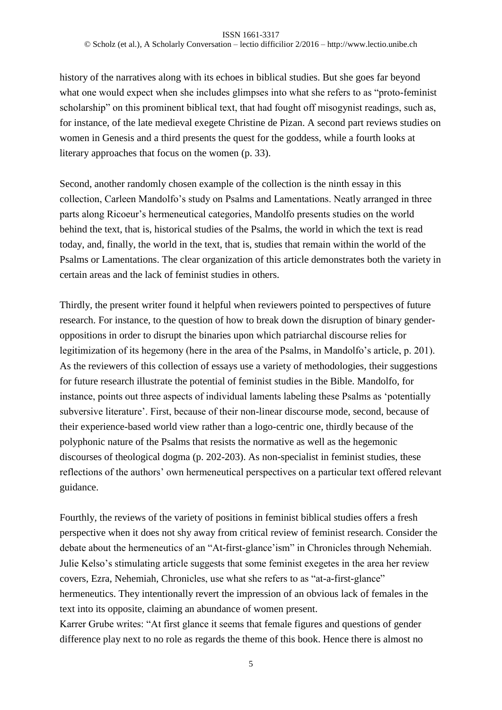history of the narratives along with its echoes in biblical studies. But she goes far beyond what one would expect when she includes glimpses into what she refers to as "proto-feminist scholarship" on this prominent biblical text, that had fought off misogynist readings, such as, for instance, of the late medieval exegete Christine de Pizan. A second part reviews studies on women in Genesis and a third presents the quest for the goddess, while a fourth looks at literary approaches that focus on the women (p. 33).

Second, another randomly chosen example of the collection is the ninth essay in this collection, Carleen Mandolfo's study on Psalms and Lamentations. Neatly arranged in three parts along Ricoeur's hermeneutical categories, Mandolfo presents studies on the world behind the text, that is, historical studies of the Psalms, the world in which the text is read today, and, finally, the world in the text, that is, studies that remain within the world of the Psalms or Lamentations. The clear organization of this article demonstrates both the variety in certain areas and the lack of feminist studies in others.

Thirdly, the present writer found it helpful when reviewers pointed to perspectives of future research. For instance, to the question of how to break down the disruption of binary genderoppositions in order to disrupt the binaries upon which patriarchal discourse relies for legitimization of its hegemony (here in the area of the Psalms, in Mandolfo's article, p. 201). As the reviewers of this collection of essays use a variety of methodologies, their suggestions for future research illustrate the potential of feminist studies in the Bible. Mandolfo, for instance, points out three aspects of individual laments labeling these Psalms as 'potentially subversive literature'. First, because of their non-linear discourse mode, second, because of their experience-based world view rather than a logo-centric one, thirdly because of the polyphonic nature of the Psalms that resists the normative as well as the hegemonic discourses of theological dogma (p. 202-203). As non-specialist in feminist studies, these reflections of the authors' own hermeneutical perspectives on a particular text offered relevant guidance.

Fourthly, the reviews of the variety of positions in feminist biblical studies offers a fresh perspective when it does not shy away from critical review of feminist research. Consider the debate about the hermeneutics of an "At-first-glance'ism" in Chronicles through Nehemiah. Julie Kelso's stimulating article suggests that some feminist exegetes in the area her review covers, Ezra, Nehemiah, Chronicles, use what she refers to as "at-a-first-glance" hermeneutics. They intentionally revert the impression of an obvious lack of females in the text into its opposite, claiming an abundance of women present. Karrer Grube writes: "At first glance it seems that female figures and questions of gender difference play next to no role as regards the theme of this book. Hence there is almost no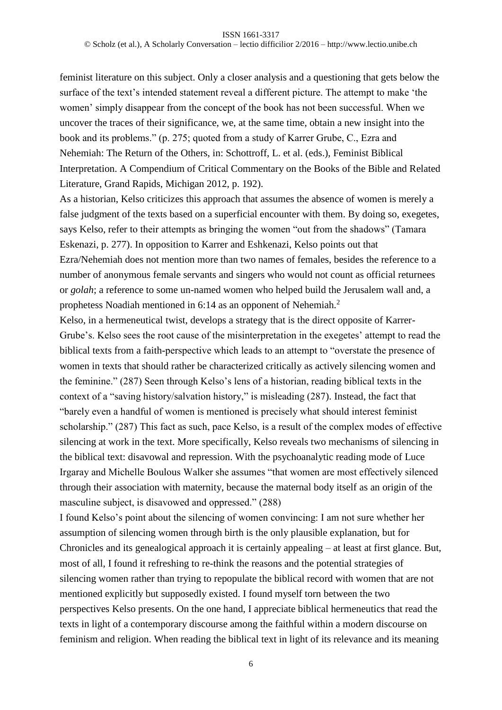#### ISSN 1661-3317

© Scholz (et al.), A Scholarly Conversation – lectio difficilior 2/2016 – http://www.lectio.unibe.ch

feminist literature on this subject. Only a closer analysis and a questioning that gets below the surface of the text's intended statement reveal a different picture. The attempt to make 'the women' simply disappear from the concept of the book has not been successful. When we uncover the traces of their significance, we, at the same time, obtain a new insight into the book and its problems." (p. 275; quoted from a study of Karrer Grube, C., Ezra and Nehemiah: The Return of the Others, in: Schottroff, L. et al. (eds.), Feminist Biblical Interpretation. A Compendium of Critical Commentary on the Books of the Bible and Related Literature, Grand Rapids, Michigan 2012, p. 192).

As a historian, Kelso criticizes this approach that assumes the absence of women is merely a false judgment of the texts based on a superficial encounter with them. By doing so, exegetes, says Kelso, refer to their attempts as bringing the women "out from the shadows" (Tamara Eskenazi, p. 277). In opposition to Karrer and Eshkenazi, Kelso points out that Ezra/Nehemiah does not mention more than two names of females, besides the reference to a number of anonymous female servants and singers who would not count as official returnees or *golah*; a reference to some un-named women who helped build the Jerusalem wall and, a prophetess Noadiah mentioned in 6:14 as an opponent of Nehemiah.<sup>2</sup>

Kelso, in a hermeneutical twist, develops a strategy that is the direct opposite of Karrer-Grube's. Kelso sees the root cause of the misinterpretation in the exegetes' attempt to read the biblical texts from a faith-perspective which leads to an attempt to "overstate the presence of women in texts that should rather be characterized critically as actively silencing women and the feminine." (287) Seen through Kelso's lens of a historian, reading biblical texts in the context of a "saving history/salvation history," is misleading (287). Instead, the fact that "barely even a handful of women is mentioned is precisely what should interest feminist scholarship." (287) This fact as such, pace Kelso, is a result of the complex modes of effective silencing at work in the text. More specifically, Kelso reveals two mechanisms of silencing in the biblical text: disavowal and repression. With the psychoanalytic reading mode of Luce Irgaray and Michelle Boulous Walker she assumes "that women are most effectively silenced through their association with maternity, because the maternal body itself as an origin of the masculine subject, is disavowed and oppressed." (288)

I found Kelso's point about the silencing of women convincing: I am not sure whether her assumption of silencing women through birth is the only plausible explanation, but for Chronicles and its genealogical approach it is certainly appealing – at least at first glance. But, most of all, I found it refreshing to re-think the reasons and the potential strategies of silencing women rather than trying to repopulate the biblical record with women that are not mentioned explicitly but supposedly existed. I found myself torn between the two perspectives Kelso presents. On the one hand, I appreciate biblical hermeneutics that read the texts in light of a contemporary discourse among the faithful within a modern discourse on feminism and religion. When reading the biblical text in light of its relevance and its meaning

6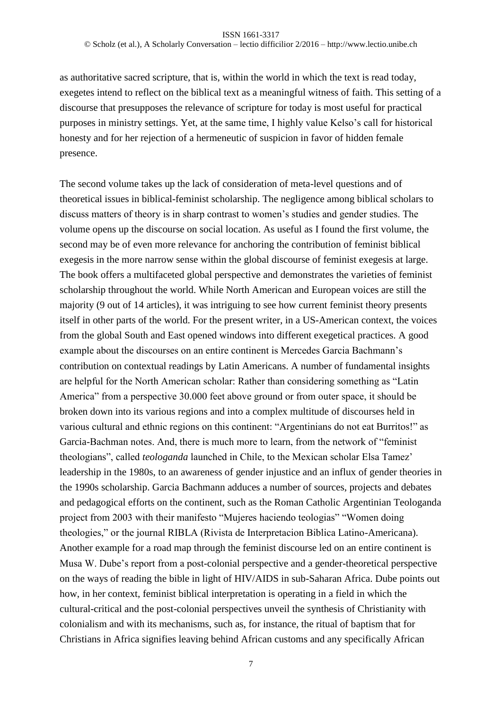as authoritative sacred scripture, that is, within the world in which the text is read today, exegetes intend to reflect on the biblical text as a meaningful witness of faith. This setting of a discourse that presupposes the relevance of scripture for today is most useful for practical purposes in ministry settings. Yet, at the same time, I highly value Kelso's call for historical honesty and for her rejection of a hermeneutic of suspicion in favor of hidden female presence.

The second volume takes up the lack of consideration of meta-level questions and of theoretical issues in biblical-feminist scholarship. The negligence among biblical scholars to discuss matters of theory is in sharp contrast to women's studies and gender studies. The volume opens up the discourse on social location. As useful as I found the first volume, the second may be of even more relevance for anchoring the contribution of feminist biblical exegesis in the more narrow sense within the global discourse of feminist exegesis at large. The book offers a multifaceted global perspective and demonstrates the varieties of feminist scholarship throughout the world. While North American and European voices are still the majority (9 out of 14 articles), it was intriguing to see how current feminist theory presents itself in other parts of the world. For the present writer, in a US-American context, the voices from the global South and East opened windows into different exegetical practices. A good example about the discourses on an entire continent is Mercedes Garcia Bachmann's contribution on contextual readings by Latin Americans. A number of fundamental insights are helpful for the North American scholar: Rather than considering something as "Latin America" from a perspective 30.000 feet above ground or from outer space, it should be broken down into its various regions and into a complex multitude of discourses held in various cultural and ethnic regions on this continent: "Argentinians do not eat Burritos!" as Garcia-Bachman notes. And, there is much more to learn, from the network of "feminist theologians", called *teologanda* launched in Chile, to the Mexican scholar Elsa Tamez' leadership in the 1980s, to an awareness of gender injustice and an influx of gender theories in the 1990s scholarship. Garcia Bachmann adduces a number of sources, projects and debates and pedagogical efforts on the continent, such as the Roman Catholic Argentinian Teologanda project from 2003 with their manifesto "Mujeres haciendo teologias" "Women doing theologies," or the journal RIBLA (Rivista de Interpretacion Biblica Latino-Americana). Another example for a road map through the feminist discourse led on an entire continent is Musa W. Dube's report from a post-colonial perspective and a gender-theoretical perspective on the ways of reading the bible in light of HIV/AIDS in sub-Saharan Africa. Dube points out how, in her context, feminist biblical interpretation is operating in a field in which the cultural-critical and the post-colonial perspectives unveil the synthesis of Christianity with colonialism and with its mechanisms, such as, for instance, the ritual of baptism that for Christians in Africa signifies leaving behind African customs and any specifically African

7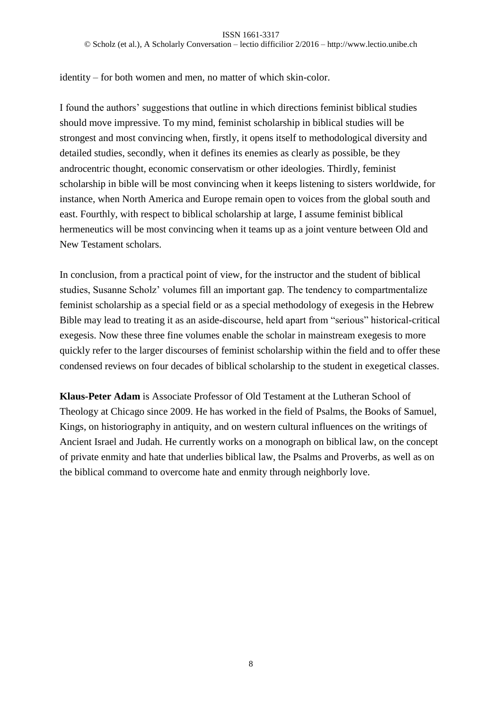identity – for both women and men, no matter of which skin-color.

I found the authors' suggestions that outline in which directions feminist biblical studies should move impressive. To my mind, feminist scholarship in biblical studies will be strongest and most convincing when, firstly, it opens itself to methodological diversity and detailed studies, secondly, when it defines its enemies as clearly as possible, be they androcentric thought, economic conservatism or other ideologies. Thirdly, feminist scholarship in bible will be most convincing when it keeps listening to sisters worldwide, for instance, when North America and Europe remain open to voices from the global south and east. Fourthly, with respect to biblical scholarship at large, I assume feminist biblical hermeneutics will be most convincing when it teams up as a joint venture between Old and New Testament scholars.

In conclusion, from a practical point of view, for the instructor and the student of biblical studies, Susanne Scholz' volumes fill an important gap. The tendency to compartmentalize feminist scholarship as a special field or as a special methodology of exegesis in the Hebrew Bible may lead to treating it as an aside-discourse, held apart from "serious" historical-critical exegesis. Now these three fine volumes enable the scholar in mainstream exegesis to more quickly refer to the larger discourses of feminist scholarship within the field and to offer these condensed reviews on four decades of biblical scholarship to the student in exegetical classes.

**Klaus-Peter Adam** is Associate Professor of Old Testament at the Lutheran School of Theology at Chicago since 2009. He has worked in the field of Psalms, the Books of Samuel, Kings, on historiography in antiquity, and on western cultural influences on the writings of Ancient Israel and Judah. He currently works on a monograph on biblical law, on the concept of private enmity and hate that underlies biblical law, the Psalms and Proverbs, as well as on the biblical command to overcome hate and enmity through neighborly love.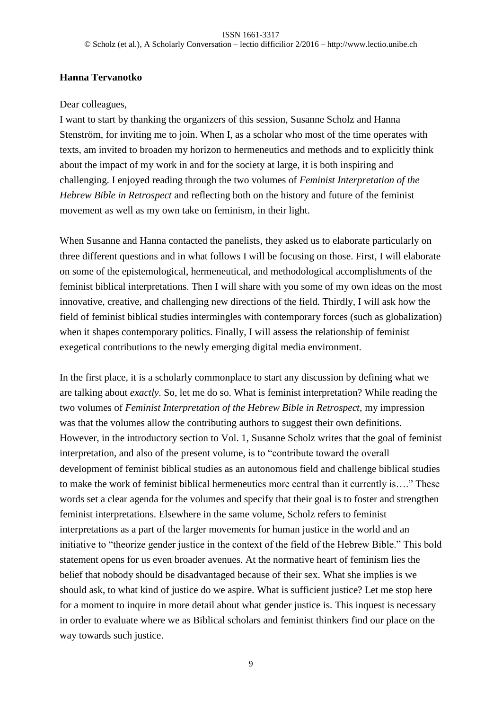## **Hanna Tervanotko**

### Dear colleagues,

I want to start by thanking the organizers of this session, Susanne Scholz and Hanna Stenström, for inviting me to join. When I, as a scholar who most of the time operates with texts, am invited to broaden my horizon to hermeneutics and methods and to explicitly think about the impact of my work in and for the society at large, it is both inspiring and challenging. I enjoyed reading through the two volumes of *Feminist Interpretation of the Hebrew Bible in Retrospect* and reflecting both on the history and future of the feminist movement as well as my own take on feminism, in their light.

When Susanne and Hanna contacted the panelists, they asked us to elaborate particularly on three different questions and in what follows I will be focusing on those. First, I will elaborate on some of the epistemological, hermeneutical, and methodological accomplishments of the feminist biblical interpretations. Then I will share with you some of my own ideas on the most innovative, creative, and challenging new directions of the field. Thirdly, I will ask how the field of feminist biblical studies intermingles with contemporary forces (such as globalization) when it shapes contemporary politics. Finally, I will assess the relationship of feminist exegetical contributions to the newly emerging digital media environment.

In the first place, it is a scholarly commonplace to start any discussion by defining what we are talking about *exactly*. So, let me do so. What is feminist interpretation? While reading the two volumes of *Feminist Interpretation of the Hebrew Bible in Retrospect,* my impression was that the volumes allow the contributing authors to suggest their own definitions. However, in the introductory section to Vol. 1, Susanne Scholz writes that the goal of feminist interpretation, and also of the present volume, is to "contribute toward the overall development of feminist biblical studies as an autonomous field and challenge biblical studies to make the work of feminist biblical hermeneutics more central than it currently is…." These words set a clear agenda for the volumes and specify that their goal is to foster and strengthen feminist interpretations. Elsewhere in the same volume, Scholz refers to feminist interpretations as a part of the larger movements for human justice in the world and an initiative to "theorize gender justice in the context of the field of the Hebrew Bible." This bold statement opens for us even broader avenues. At the normative heart of feminism lies the belief that nobody should be disadvantaged because of their sex. What she implies is we should ask, to what kind of justice do we aspire. What is sufficient justice? Let me stop here for a moment to inquire in more detail about what gender justice is. This inquest is necessary in order to evaluate where we as Biblical scholars and feminist thinkers find our place on the way towards such justice.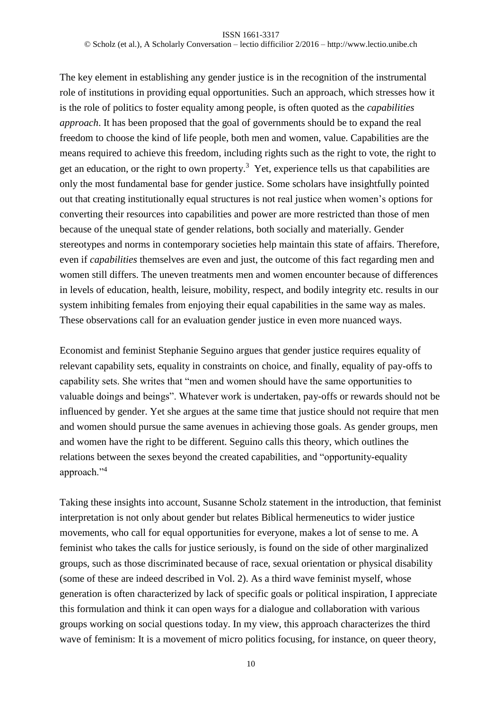The key element in establishing any gender justice is in the recognition of the instrumental role of institutions in providing equal opportunities. Such an approach, which stresses how it is the role of politics to foster equality among people, is often quoted as the *capabilities approach*. It has been proposed that the goal of governments should be to expand the real freedom to choose the kind of life people, both men and women, value. Capabilities are the means required to achieve this freedom, including rights such as the right to vote, the right to get an education, or the right to own property.<sup>3</sup> Yet, experience tells us that capabilities are only the most fundamental base for gender justice. Some scholars have insightfully pointed out that creating institutionally equal structures is not real justice when women's options for converting their resources into capabilities and power are more restricted than those of men because of the unequal state of gender relations, both socially and materially. Gender stereotypes and norms in contemporary societies help maintain this state of affairs. Therefore, even if *capabilities* themselves are even and just, the outcome of this fact regarding men and women still differs. The uneven treatments men and women encounter because of differences in levels of education, health, leisure, mobility, respect, and bodily integrity etc. results in our system inhibiting females from enjoying their equal capabilities in the same way as males. These observations call for an evaluation gender justice in even more nuanced ways.

Economist and feminist Stephanie Seguino argues that gender justice requires equality of relevant capability sets, equality in constraints on choice, and finally, equality of pay-offs to capability sets. She writes that "men and women should have the same opportunities to valuable doings and beings". Whatever work is undertaken, pay-offs or rewards should not be influenced by gender. Yet she argues at the same time that justice should not require that men and women should pursue the same avenues in achieving those goals. As gender groups, men and women have the right to be different. Seguino calls this theory, which outlines the relations between the sexes beyond the created capabilities, and "opportunity-equality approach."<sup>4</sup>

Taking these insights into account, Susanne Scholz statement in the introduction, that feminist interpretation is not only about gender but relates Biblical hermeneutics to wider justice movements, who call for equal opportunities for everyone, makes a lot of sense to me. A feminist who takes the calls for justice seriously, is found on the side of other marginalized groups, such as those discriminated because of race, sexual orientation or physical disability (some of these are indeed described in Vol. 2). As a third wave feminist myself, whose generation is often characterized by lack of specific goals or political inspiration, I appreciate this formulation and think it can open ways for a dialogue and collaboration with various groups working on social questions today. In my view, this approach characterizes the third wave of feminism: It is a movement of micro politics focusing, for instance, on queer theory,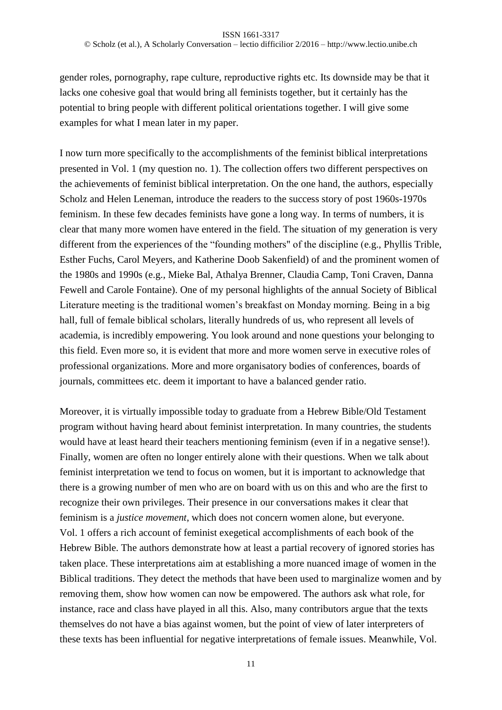gender roles, pornography, rape culture, reproductive rights etc. Its downside may be that it lacks one cohesive goal that would bring all feminists together, but it certainly has the potential to bring people with different political orientations together. I will give some examples for what I mean later in my paper.

I now turn more specifically to the accomplishments of the feminist biblical interpretations presented in Vol. 1 (my question no. 1). The collection offers two different perspectives on the achievements of feminist biblical interpretation. On the one hand, the authors, especially Scholz and Helen Leneman, introduce the readers to the success story of post 1960s-1970s feminism. In these few decades feminists have gone a long way. In terms of numbers, it is clear that many more women have entered in the field. The situation of my generation is very different from the experiences of the "founding mothers" of the discipline (e.g., Phyllis Trible, Esther Fuchs, Carol Meyers, and Katherine Doob Sakenfield) of and the prominent women of the 1980s and 1990s (e.g., Mieke Bal, Athalya Brenner, Claudia Camp, Toni Craven, Danna Fewell and Carole Fontaine). One of my personal highlights of the annual Society of Biblical Literature meeting is the traditional women's breakfast on Monday morning. Being in a big hall, full of female biblical scholars, literally hundreds of us, who represent all levels of academia, is incredibly empowering. You look around and none questions your belonging to this field. Even more so, it is evident that more and more women serve in executive roles of professional organizations. More and more organisatory bodies of conferences, boards of journals, committees etc. deem it important to have a balanced gender ratio.

Moreover, it is virtually impossible today to graduate from a Hebrew Bible/Old Testament program without having heard about feminist interpretation. In many countries, the students would have at least heard their teachers mentioning feminism (even if in a negative sense!). Finally, women are often no longer entirely alone with their questions. When we talk about feminist interpretation we tend to focus on women, but it is important to acknowledge that there is a growing number of men who are on board with us on this and who are the first to recognize their own privileges. Their presence in our conversations makes it clear that feminism is a *justice movement*, which does not concern women alone, but everyone. Vol. 1 offers a rich account of feminist exegetical accomplishments of each book of the Hebrew Bible. The authors demonstrate how at least a partial recovery of ignored stories has taken place. These interpretations aim at establishing a more nuanced image of women in the Biblical traditions. They detect the methods that have been used to marginalize women and by removing them, show how women can now be empowered. The authors ask what role, for instance, race and class have played in all this. Also, many contributors argue that the texts themselves do not have a bias against women, but the point of view of later interpreters of these texts has been influential for negative interpretations of female issues. Meanwhile, Vol.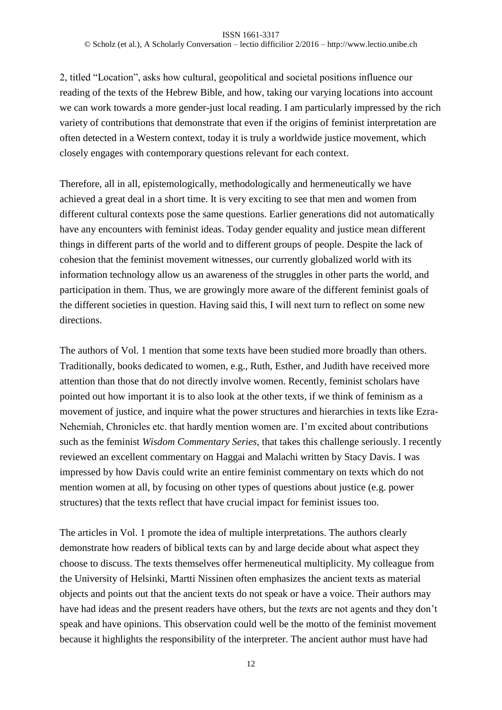2, titled "Location", asks how cultural, geopolitical and societal positions influence our reading of the texts of the Hebrew Bible, and how, taking our varying locations into account we can work towards a more gender-just local reading. I am particularly impressed by the rich variety of contributions that demonstrate that even if the origins of feminist interpretation are often detected in a Western context, today it is truly a worldwide justice movement, which closely engages with contemporary questions relevant for each context.

Therefore, all in all, epistemologically, methodologically and hermeneutically we have achieved a great deal in a short time. It is very exciting to see that men and women from different cultural contexts pose the same questions. Earlier generations did not automatically have any encounters with feminist ideas. Today gender equality and justice mean different things in different parts of the world and to different groups of people. Despite the lack of cohesion that the feminist movement witnesses, our currently globalized world with its information technology allow us an awareness of the struggles in other parts the world, and participation in them. Thus, we are growingly more aware of the different feminist goals of the different societies in question. Having said this, I will next turn to reflect on some new directions.

The authors of Vol. 1 mention that some texts have been studied more broadly than others. Traditionally, books dedicated to women, e.g., Ruth, Esther, and Judith have received more attention than those that do not directly involve women. Recently, feminist scholars have pointed out how important it is to also look at the other texts, if we think of feminism as a movement of justice, and inquire what the power structures and hierarchies in texts like Ezra-Nehemiah, Chronicles etc. that hardly mention women are. I'm excited about contributions such as the feminist *Wisdom Commentary Series,* that takes this challenge seriously. I recently reviewed an excellent commentary on Haggai and Malachi written by Stacy Davis. I was impressed by how Davis could write an entire feminist commentary on texts which do not mention women at all, by focusing on other types of questions about justice (e.g. power structures) that the texts reflect that have crucial impact for feminist issues too.

The articles in Vol. 1 promote the idea of multiple interpretations. The authors clearly demonstrate how readers of biblical texts can by and large decide about what aspect they choose to discuss. The texts themselves offer hermeneutical multiplicity. My colleague from the University of Helsinki, Martti Nissinen often emphasizes the ancient texts as material objects and points out that the ancient texts do not speak or have a voice. Their authors may have had ideas and the present readers have others, but the *texts* are not agents and they don't speak and have opinions. This observation could well be the motto of the feminist movement because it highlights the responsibility of the interpreter. The ancient author must have had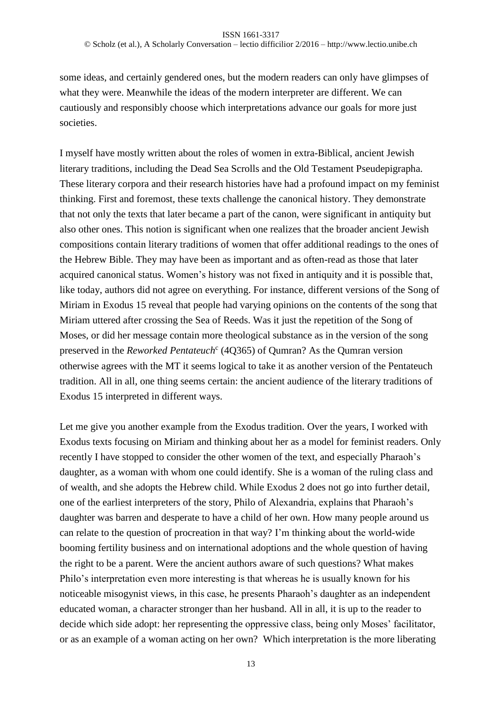© Scholz (et al.), A Scholarly Conversation – lectio difficilior 2/2016 – http://www.lectio.unibe.ch

some ideas, and certainly gendered ones, but the modern readers can only have glimpses of what they were. Meanwhile the ideas of the modern interpreter are different. We can cautiously and responsibly choose which interpretations advance our goals for more just societies.

I myself have mostly written about the roles of women in extra-Biblical, ancient Jewish literary traditions, including the Dead Sea Scrolls and the Old Testament Pseudepigrapha. These literary corpora and their research histories have had a profound impact on my feminist thinking. First and foremost, these texts challenge the canonical history. They demonstrate that not only the texts that later became a part of the canon, were significant in antiquity but also other ones. This notion is significant when one realizes that the broader ancient Jewish compositions contain literary traditions of women that offer additional readings to the ones of the Hebrew Bible. They may have been as important and as often-read as those that later acquired canonical status. Women's history was not fixed in antiquity and it is possible that, like today, authors did not agree on everything. For instance, different versions of the Song of Miriam in Exodus 15 reveal that people had varying opinions on the contents of the song that Miriam uttered after crossing the Sea of Reeds. Was it just the repetition of the Song of Moses, or did her message contain more theological substance as in the version of the song preserved in the *Reworked Pentateuch*<sup>c</sup> (4Q365) of Qumran? As the Qumran version otherwise agrees with the MT it seems logical to take it as another version of the Pentateuch tradition. All in all, one thing seems certain: the ancient audience of the literary traditions of Exodus 15 interpreted in different ways.

Let me give you another example from the Exodus tradition. Over the years, I worked with Exodus texts focusing on Miriam and thinking about her as a model for feminist readers. Only recently I have stopped to consider the other women of the text, and especially Pharaoh's daughter, as a woman with whom one could identify. She is a woman of the ruling class and of wealth, and she adopts the Hebrew child. While Exodus 2 does not go into further detail, one of the earliest interpreters of the story, Philo of Alexandria, explains that Pharaoh's daughter was barren and desperate to have a child of her own. How many people around us can relate to the question of procreation in that way? I'm thinking about the world-wide booming fertility business and on international adoptions and the whole question of having the right to be a parent. Were the ancient authors aware of such questions? What makes Philo's interpretation even more interesting is that whereas he is usually known for his noticeable misogynist views, in this case, he presents Pharaoh's daughter as an independent educated woman, a character stronger than her husband. All in all, it is up to the reader to decide which side adopt: her representing the oppressive class, being only Moses' facilitator, or as an example of a woman acting on her own? Which interpretation is the more liberating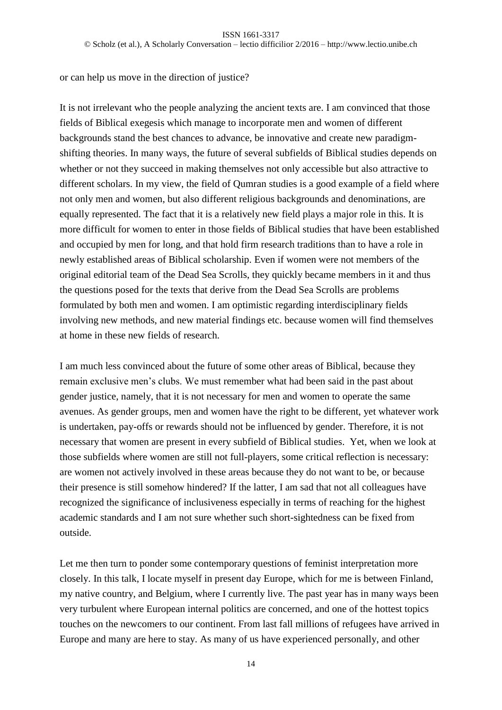or can help us move in the direction of justice?

It is not irrelevant who the people analyzing the ancient texts are. I am convinced that those fields of Biblical exegesis which manage to incorporate men and women of different backgrounds stand the best chances to advance, be innovative and create new paradigmshifting theories. In many ways, the future of several subfields of Biblical studies depends on whether or not they succeed in making themselves not only accessible but also attractive to different scholars. In my view, the field of Qumran studies is a good example of a field where not only men and women, but also different religious backgrounds and denominations, are equally represented. The fact that it is a relatively new field plays a major role in this. It is more difficult for women to enter in those fields of Biblical studies that have been established and occupied by men for long, and that hold firm research traditions than to have a role in newly established areas of Biblical scholarship. Even if women were not members of the original editorial team of the Dead Sea Scrolls, they quickly became members in it and thus the questions posed for the texts that derive from the Dead Sea Scrolls are problems formulated by both men and women. I am optimistic regarding interdisciplinary fields involving new methods, and new material findings etc. because women will find themselves at home in these new fields of research.

I am much less convinced about the future of some other areas of Biblical, because they remain exclusive men's clubs. We must remember what had been said in the past about gender justice, namely, that it is not necessary for men and women to operate the same avenues. As gender groups, men and women have the right to be different, yet whatever work is undertaken, pay-offs or rewards should not be influenced by gender. Therefore, it is not necessary that women are present in every subfield of Biblical studies. Yet, when we look at those subfields where women are still not full-players, some critical reflection is necessary: are women not actively involved in these areas because they do not want to be, or because their presence is still somehow hindered? If the latter, I am sad that not all colleagues have recognized the significance of inclusiveness especially in terms of reaching for the highest academic standards and I am not sure whether such short-sightedness can be fixed from outside.

Let me then turn to ponder some contemporary questions of feminist interpretation more closely. In this talk, I locate myself in present day Europe, which for me is between Finland, my native country, and Belgium, where I currently live. The past year has in many ways been very turbulent where European internal politics are concerned, and one of the hottest topics touches on the newcomers to our continent. From last fall millions of refugees have arrived in Europe and many are here to stay. As many of us have experienced personally, and other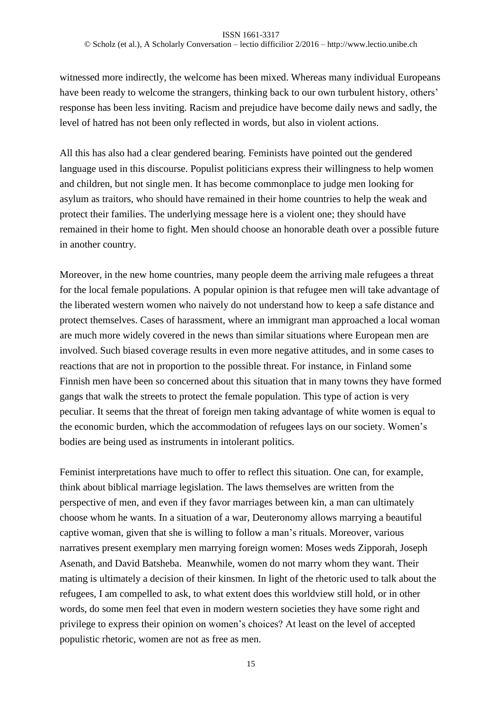### ISSN 1661-3317

© Scholz (et al.), A Scholarly Conversation – lectio difficilior 2/2016 – http://www.lectio.unibe.ch

witnessed more indirectly, the welcome has been mixed. Whereas many individual Europeans have been ready to welcome the strangers, thinking back to our own turbulent history, others' response has been less inviting. Racism and prejudice have become daily news and sadly, the level of hatred has not been only reflected in words, but also in violent actions.

All this has also had a clear gendered bearing. Feminists have pointed out the gendered language used in this discourse. Populist politicians express their willingness to help women and children, but not single men. It has become commonplace to judge men looking for asylum as traitors, who should have remained in their home countries to help the weak and protect their families. The underlying message here is a violent one; they should have remained in their home to fight. Men should choose an honorable death over a possible future in another country.

Moreover, in the new home countries, many people deem the arriving male refugees a threat for the local female populations. A popular opinion is that refugee men will take advantage of the liberated western women who naively do not understand how to keep a safe distance and protect themselves. Cases of harassment, where an immigrant man approached a local woman are much more widely covered in the news than similar situations where European men are involved. Such biased coverage results in even more negative attitudes, and in some cases to reactions that are not in proportion to the possible threat. For instance, in Finland some Finnish men have been so concerned about this situation that in many towns they have formed gangs that walk the streets to protect the female population. This type of action is very peculiar. It seems that the threat of foreign men taking advantage of white women is equal to the economic burden, which the accommodation of refugees lays on our society. Women's bodies are being used as instruments in intolerant politics.

Feminist interpretations have much to offer to reflect this situation. One can, for example, think about biblical marriage legislation. The laws themselves are written from the perspective of men, and even if they favor marriages between kin, a man can ultimately choose whom he wants. In a situation of a war, Deuteronomy allows marrying a beautiful captive woman, given that she is willing to follow a man's rituals. Moreover, various narratives present exemplary men marrying foreign women: Moses weds Zipporah, Joseph Asenath, and David Batsheba. Meanwhile, women do not marry whom they want. Their mating is ultimately a decision of their kinsmen. In light of the rhetoric used to talk about the refugees, I am compelled to ask, to what extent does this worldview still hold, or in other words, do some men feel that even in modern western societies they have some right and privilege to express their opinion on women's choices? At least on the level of accepted populistic rhetoric, women are not as free as men.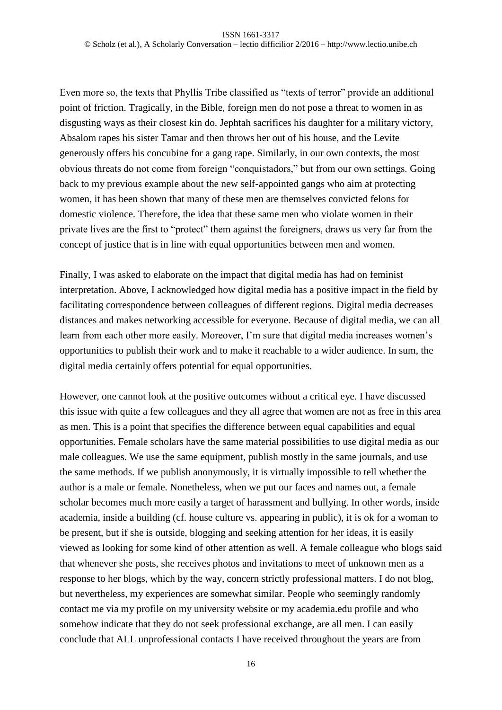Even more so, the texts that Phyllis Tribe classified as "texts of terror" provide an additional point of friction. Tragically, in the Bible, foreign men do not pose a threat to women in as disgusting ways as their closest kin do. Jephtah sacrifices his daughter for a military victory, Absalom rapes his sister Tamar and then throws her out of his house, and the Levite generously offers his concubine for a gang rape. Similarly, in our own contexts, the most obvious threats do not come from foreign "conquistadors," but from our own settings. Going back to my previous example about the new self-appointed gangs who aim at protecting women, it has been shown that many of these men are themselves convicted felons for domestic violence. Therefore, the idea that these same men who violate women in their private lives are the first to "protect" them against the foreigners, draws us very far from the concept of justice that is in line with equal opportunities between men and women.

Finally, I was asked to elaborate on the impact that digital media has had on feminist interpretation. Above, I acknowledged how digital media has a positive impact in the field by facilitating correspondence between colleagues of different regions. Digital media decreases distances and makes networking accessible for everyone. Because of digital media, we can all learn from each other more easily. Moreover, I'm sure that digital media increases women's opportunities to publish their work and to make it reachable to a wider audience. In sum, the digital media certainly offers potential for equal opportunities.

However, one cannot look at the positive outcomes without a critical eye. I have discussed this issue with quite a few colleagues and they all agree that women are not as free in this area as men. This is a point that specifies the difference between equal capabilities and equal opportunities. Female scholars have the same material possibilities to use digital media as our male colleagues. We use the same equipment, publish mostly in the same journals, and use the same methods. If we publish anonymously, it is virtually impossible to tell whether the author is a male or female. Nonetheless, when we put our faces and names out, a female scholar becomes much more easily a target of harassment and bullying. In other words, inside academia, inside a building (cf. house culture vs. appearing in public), it is ok for a woman to be present, but if she is outside, blogging and seeking attention for her ideas, it is easily viewed as looking for some kind of other attention as well. A female colleague who blogs said that whenever she posts, she receives photos and invitations to meet of unknown men as a response to her blogs, which by the way, concern strictly professional matters. I do not blog, but nevertheless, my experiences are somewhat similar. People who seemingly randomly contact me via my profile on my university website or my academia.edu profile and who somehow indicate that they do not seek professional exchange, are all men. I can easily conclude that ALL unprofessional contacts I have received throughout the years are from

16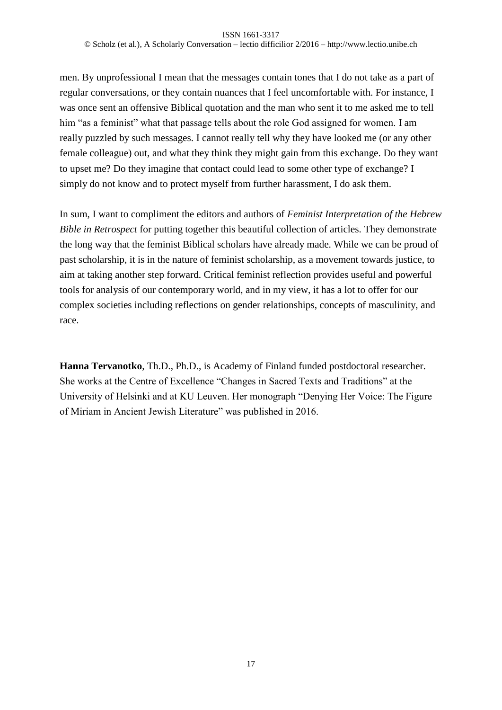### ISSN 1661-3317 © Scholz (et al.), A Scholarly Conversation – lectio difficilior 2/2016 – http://www.lectio.unibe.ch

men. By unprofessional I mean that the messages contain tones that I do not take as a part of regular conversations, or they contain nuances that I feel uncomfortable with. For instance, I was once sent an offensive Biblical quotation and the man who sent it to me asked me to tell him "as a feminist" what that passage tells about the role God assigned for women. I am really puzzled by such messages. I cannot really tell why they have looked me (or any other female colleague) out, and what they think they might gain from this exchange. Do they want to upset me? Do they imagine that contact could lead to some other type of exchange? I simply do not know and to protect myself from further harassment, I do ask them.

In sum, I want to compliment the editors and authors of *Feminist Interpretation of the Hebrew Bible in Retrospect* for putting together this beautiful collection of articles. They demonstrate the long way that the feminist Biblical scholars have already made. While we can be proud of past scholarship, it is in the nature of feminist scholarship, as a movement towards justice, to aim at taking another step forward. Critical feminist reflection provides useful and powerful tools for analysis of our contemporary world, and in my view, it has a lot to offer for our complex societies including reflections on gender relationships, concepts of masculinity, and race.

**Hanna Tervanotko**, Th.D., Ph.D., is Academy of Finland funded postdoctoral researcher. She works at the Centre of Excellence "Changes in Sacred Texts and Traditions" at the University of Helsinki and at KU Leuven. Her monograph "Denying Her Voice: The Figure of Miriam in Ancient Jewish Literature" was published in 2016.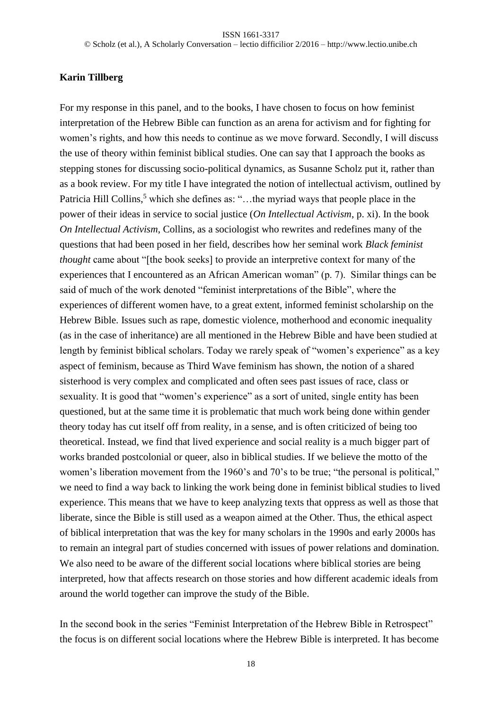# **Karin Tillberg**

For my response in this panel, and to the books, I have chosen to focus on how feminist interpretation of the Hebrew Bible can function as an arena for activism and for fighting for women's rights, and how this needs to continue as we move forward. Secondly, I will discuss the use of theory within feminist biblical studies. One can say that I approach the books as stepping stones for discussing socio-political dynamics, as Susanne Scholz put it, rather than as a book review. For my title I have integrated the notion of intellectual activism, outlined by Patricia Hill Collins,<sup>5</sup> which she defines as: "...the myriad ways that people place in the power of their ideas in service to social justice (*On Intellectual Activism*, p. xi). In the book *On Intellectual Activism*, Collins, as a sociologist who rewrites and redefines many of the questions that had been posed in her field, describes how her seminal work *Black feminist thought* came about "[the book seeks] to provide an interpretive context for many of the experiences that I encountered as an African American woman" (p. 7). Similar things can be said of much of the work denoted "feminist interpretations of the Bible", where the experiences of different women have, to a great extent, informed feminist scholarship on the Hebrew Bible. Issues such as rape, domestic violence, motherhood and economic inequality (as in the case of inheritance) are all mentioned in the Hebrew Bible and have been studied at length by feminist biblical scholars. Today we rarely speak of "women's experience" as a key aspect of feminism, because as Third Wave feminism has shown, the notion of a shared sisterhood is very complex and complicated and often sees past issues of race, class or sexuality. It is good that "women's experience" as a sort of united, single entity has been questioned, but at the same time it is problematic that much work being done within gender theory today has cut itself off from reality, in a sense, and is often criticized of being too theoretical. Instead, we find that lived experience and social reality is a much bigger part of works branded postcolonial or queer, also in biblical studies. If we believe the motto of the women's liberation movement from the 1960's and 70's to be true; "the personal is political," we need to find a way back to linking the work being done in feminist biblical studies to lived experience. This means that we have to keep analyzing texts that oppress as well as those that liberate, since the Bible is still used as a weapon aimed at the Other. Thus, the ethical aspect of biblical interpretation that was the key for many scholars in the 1990s and early 2000s has to remain an integral part of studies concerned with issues of power relations and domination. We also need to be aware of the different social locations where biblical stories are being interpreted, how that affects research on those stories and how different academic ideals from around the world together can improve the study of the Bible.

In the second book in the series "Feminist Interpretation of the Hebrew Bible in Retrospect" the focus is on different social locations where the Hebrew Bible is interpreted. It has become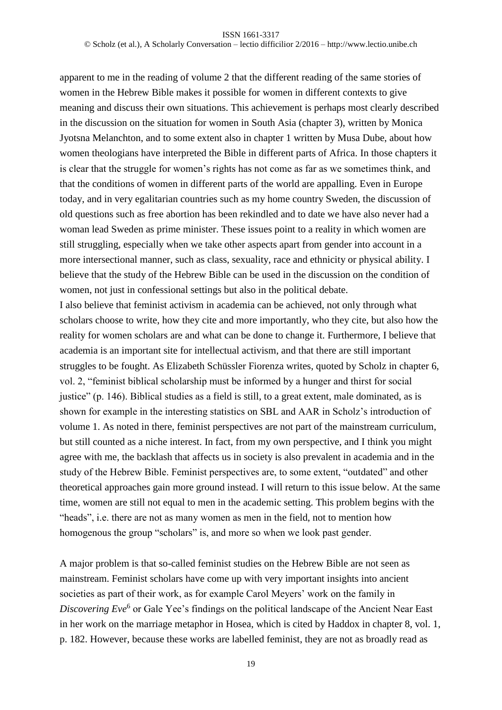apparent to me in the reading of volume 2 that the different reading of the same stories of women in the Hebrew Bible makes it possible for women in different contexts to give meaning and discuss their own situations. This achievement is perhaps most clearly described in the discussion on the situation for women in South Asia (chapter 3), written by Monica Jyotsna Melanchton, and to some extent also in chapter 1 written by Musa Dube, about how women theologians have interpreted the Bible in different parts of Africa. In those chapters it is clear that the struggle for women's rights has not come as far as we sometimes think, and that the conditions of women in different parts of the world are appalling. Even in Europe today, and in very egalitarian countries such as my home country Sweden, the discussion of old questions such as free abortion has been rekindled and to date we have also never had a woman lead Sweden as prime minister. These issues point to a reality in which women are still struggling, especially when we take other aspects apart from gender into account in a more intersectional manner, such as class, sexuality, race and ethnicity or physical ability. I believe that the study of the Hebrew Bible can be used in the discussion on the condition of women, not just in confessional settings but also in the political debate.

I also believe that feminist activism in academia can be achieved, not only through what scholars choose to write, how they cite and more importantly, who they cite, but also how the reality for women scholars are and what can be done to change it. Furthermore, I believe that academia is an important site for intellectual activism, and that there are still important struggles to be fought. As Elizabeth Schüssler Fiorenza writes, quoted by Scholz in chapter 6, vol. 2, "feminist biblical scholarship must be informed by a hunger and thirst for social justice" (p. 146). Biblical studies as a field is still, to a great extent, male dominated, as is shown for example in the interesting statistics on SBL and AAR in Scholz's introduction of volume 1. As noted in there, feminist perspectives are not part of the mainstream curriculum, but still counted as a niche interest. In fact, from my own perspective, and I think you might agree with me, the backlash that affects us in society is also prevalent in academia and in the study of the Hebrew Bible. Feminist perspectives are, to some extent, "outdated" and other theoretical approaches gain more ground instead. I will return to this issue below. At the same time, women are still not equal to men in the academic setting. This problem begins with the "heads", i.e. there are not as many women as men in the field, not to mention how homogenous the group "scholars" is, and more so when we look past gender.

A major problem is that so-called feminist studies on the Hebrew Bible are not seen as mainstream. Feminist scholars have come up with very important insights into ancient societies as part of their work, as for example Carol Meyers' work on the family in Discovering Eve<sup>6</sup> or Gale Yee's findings on the political landscape of the Ancient Near East in her work on the marriage metaphor in Hosea, which is cited by Haddox in chapter 8, vol. 1, p. 182. However, because these works are labelled feminist, they are not as broadly read as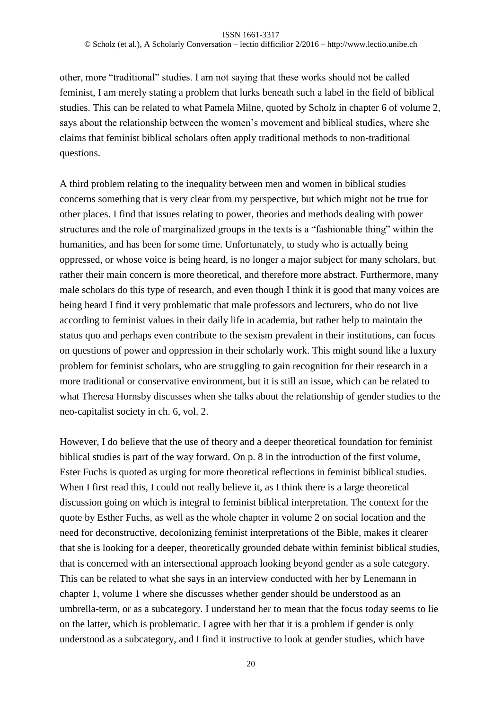other, more "traditional" studies. I am not saying that these works should not be called feminist, I am merely stating a problem that lurks beneath such a label in the field of biblical studies. This can be related to what Pamela Milne, quoted by Scholz in chapter 6 of volume 2, says about the relationship between the women's movement and biblical studies, where she claims that feminist biblical scholars often apply traditional methods to non-traditional questions.

A third problem relating to the inequality between men and women in biblical studies concerns something that is very clear from my perspective, but which might not be true for other places. I find that issues relating to power, theories and methods dealing with power structures and the role of marginalized groups in the texts is a "fashionable thing" within the humanities, and has been for some time. Unfortunately, to study who is actually being oppressed, or whose voice is being heard, is no longer a major subject for many scholars, but rather their main concern is more theoretical, and therefore more abstract. Furthermore, many male scholars do this type of research, and even though I think it is good that many voices are being heard I find it very problematic that male professors and lecturers, who do not live according to feminist values in their daily life in academia, but rather help to maintain the status quo and perhaps even contribute to the sexism prevalent in their institutions, can focus on questions of power and oppression in their scholarly work. This might sound like a luxury problem for feminist scholars, who are struggling to gain recognition for their research in a more traditional or conservative environment, but it is still an issue, which can be related to what Theresa Hornsby discusses when she talks about the relationship of gender studies to the neo-capitalist society in ch. 6, vol. 2.

However, I do believe that the use of theory and a deeper theoretical foundation for feminist biblical studies is part of the way forward. On p. 8 in the introduction of the first volume, Ester Fuchs is quoted as urging for more theoretical reflections in feminist biblical studies. When I first read this, I could not really believe it, as I think there is a large theoretical discussion going on which is integral to feminist biblical interpretation. The context for the quote by Esther Fuchs, as well as the whole chapter in volume 2 on social location and the need for deconstructive, decolonizing feminist interpretations of the Bible, makes it clearer that she is looking for a deeper, theoretically grounded debate within feminist biblical studies, that is concerned with an intersectional approach looking beyond gender as a sole category. This can be related to what she says in an interview conducted with her by Lenemann in chapter 1, volume 1 where she discusses whether gender should be understood as an umbrella-term, or as a subcategory. I understand her to mean that the focus today seems to lie on the latter, which is problematic. I agree with her that it is a problem if gender is only understood as a subcategory, and I find it instructive to look at gender studies, which have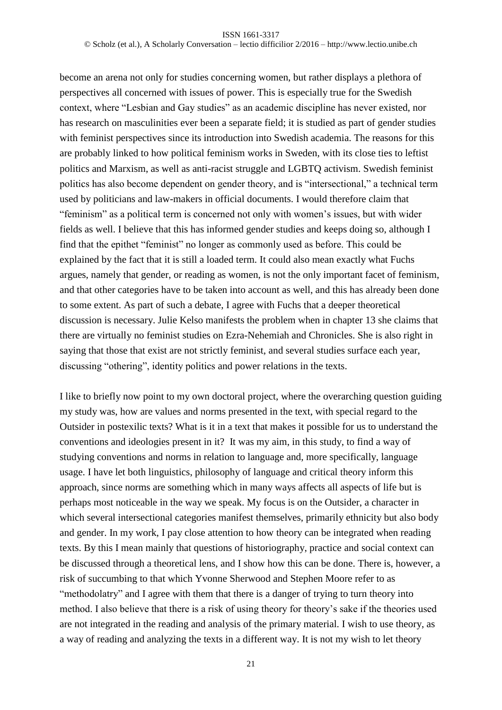become an arena not only for studies concerning women, but rather displays a plethora of perspectives all concerned with issues of power. This is especially true for the Swedish context, where "Lesbian and Gay studies" as an academic discipline has never existed, nor has research on masculinities ever been a separate field; it is studied as part of gender studies with feminist perspectives since its introduction into Swedish academia. The reasons for this are probably linked to how political feminism works in Sweden, with its close ties to leftist politics and Marxism, as well as anti-racist struggle and LGBTQ activism. Swedish feminist politics has also become dependent on gender theory, and is "intersectional," a technical term used by politicians and law-makers in official documents. I would therefore claim that "feminism" as a political term is concerned not only with women's issues, but with wider fields as well. I believe that this has informed gender studies and keeps doing so, although I find that the epithet "feminist" no longer as commonly used as before. This could be explained by the fact that it is still a loaded term. It could also mean exactly what Fuchs argues, namely that gender, or reading as women, is not the only important facet of feminism, and that other categories have to be taken into account as well, and this has already been done to some extent. As part of such a debate, I agree with Fuchs that a deeper theoretical discussion is necessary. Julie Kelso manifests the problem when in chapter 13 she claims that there are virtually no feminist studies on Ezra-Nehemiah and Chronicles. She is also right in saying that those that exist are not strictly feminist, and several studies surface each year, discussing "othering", identity politics and power relations in the texts.

I like to briefly now point to my own doctoral project, where the overarching question guiding my study was, how are values and norms presented in the text, with special regard to the Outsider in postexilic texts? What is it in a text that makes it possible for us to understand the conventions and ideologies present in it? It was my aim, in this study, to find a way of studying conventions and norms in relation to language and, more specifically, language usage. I have let both linguistics, philosophy of language and critical theory inform this approach, since norms are something which in many ways affects all aspects of life but is perhaps most noticeable in the way we speak. My focus is on the Outsider, a character in which several intersectional categories manifest themselves, primarily ethnicity but also body and gender. In my work, I pay close attention to how theory can be integrated when reading texts. By this I mean mainly that questions of historiography, practice and social context can be discussed through a theoretical lens, and I show how this can be done. There is, however, a risk of succumbing to that which Yvonne Sherwood and Stephen Moore refer to as "methodolatry" and I agree with them that there is a danger of trying to turn theory into method. I also believe that there is a risk of using theory for theory's sake if the theories used are not integrated in the reading and analysis of the primary material. I wish to use theory, as a way of reading and analyzing the texts in a different way. It is not my wish to let theory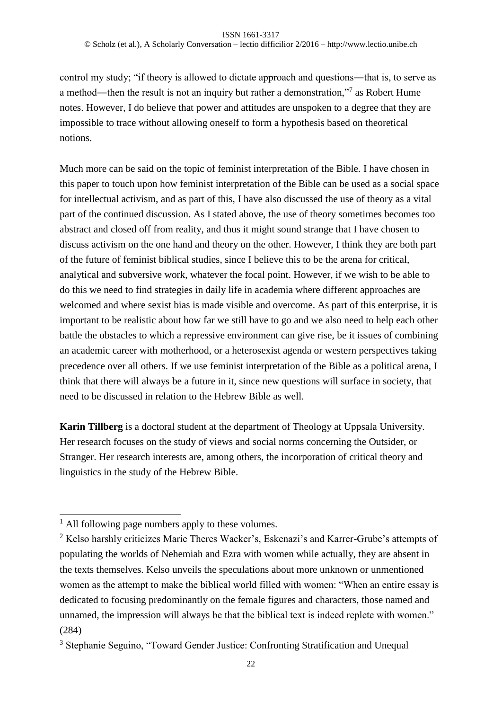© Scholz (et al.), A Scholarly Conversation – lectio difficilior 2/2016 – http://www.lectio.unibe.ch

control my study; "if theory is allowed to dictate approach and questions―that is, to serve as a method—then the result is not an inquiry but rather a demonstration,"<sup>7</sup> as Robert Hume notes. However, I do believe that power and attitudes are unspoken to a degree that they are impossible to trace without allowing oneself to form a hypothesis based on theoretical notions.

Much more can be said on the topic of feminist interpretation of the Bible. I have chosen in this paper to touch upon how feminist interpretation of the Bible can be used as a social space for intellectual activism, and as part of this, I have also discussed the use of theory as a vital part of the continued discussion. As I stated above, the use of theory sometimes becomes too abstract and closed off from reality, and thus it might sound strange that I have chosen to discuss activism on the one hand and theory on the other. However, I think they are both part of the future of feminist biblical studies, since I believe this to be the arena for critical, analytical and subversive work, whatever the focal point. However, if we wish to be able to do this we need to find strategies in daily life in academia where different approaches are welcomed and where sexist bias is made visible and overcome. As part of this enterprise, it is important to be realistic about how far we still have to go and we also need to help each other battle the obstacles to which a repressive environment can give rise, be it issues of combining an academic career with motherhood, or a heterosexist agenda or western perspectives taking precedence over all others. If we use feminist interpretation of the Bible as a political arena, I think that there will always be a future in it, since new questions will surface in society, that need to be discussed in relation to the Hebrew Bible as well.

**Karin Tillberg** is a doctoral student at the department of Theology at Uppsala University. Her research focuses on the study of views and social norms concerning the Outsider, or Stranger. Her research interests are, among others, the incorporation of critical theory and linguistics in the study of the Hebrew Bible.

-

 $<sup>1</sup>$  All following page numbers apply to these volumes.</sup>

<sup>&</sup>lt;sup>2</sup> Kelso harshly criticizes Marie Theres Wacker's, Eskenazi's and Karrer-Grube's attempts of populating the worlds of Nehemiah and Ezra with women while actually, they are absent in the texts themselves. Kelso unveils the speculations about more unknown or unmentioned women as the attempt to make the biblical world filled with women: "When an entire essay is dedicated to focusing predominantly on the female figures and characters, those named and unnamed, the impression will always be that the biblical text is indeed replete with women." (284)

<sup>3</sup> Stephanie Seguino, "Toward Gender Justice: Confronting Stratification and Unequal